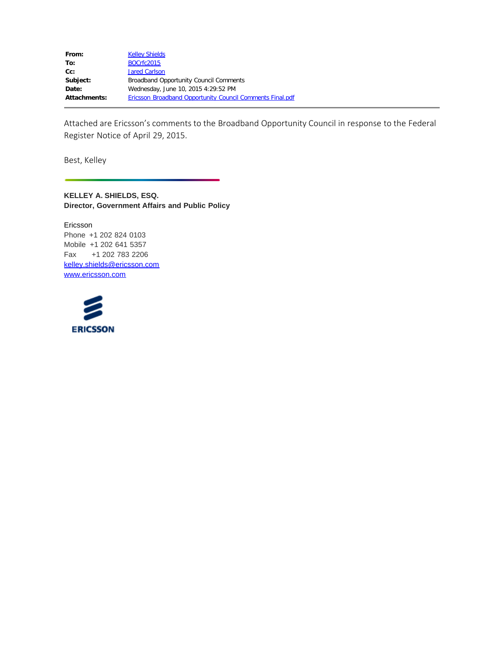| From:               | <b>Kelley Shields</b>                                     |
|---------------------|-----------------------------------------------------------|
| To:                 | <b>BOCrfc2015</b>                                         |
| Cc:                 | <b>Jared Carlson</b>                                      |
| Subject:            | Broadband Opportunity Council Comments                    |
| Date:               | Wednesday, June 10, 2015 4:29:52 PM                       |
| <b>Attachments:</b> | Ericsson Broadband Opportunity Council Comments Final.pdf |

Attached are Ericsson's comments to the Broadband Opportunity Council in response to the Federal Register Notice of April 29, 2015.

Best, Kelley

**KELLEY A. SHIELDS, ESQ. Director, Government Affairs and Public Policy**

Ericsson Phone +1 202 824 0103 Mobile +1 202 641 5357 Fax +1 202 783 2206 [kelley.shields@ericsson.com](mailto:kelley.shields@ericsson.com) [www.ericsson.com](http://www.ericsson.com/)

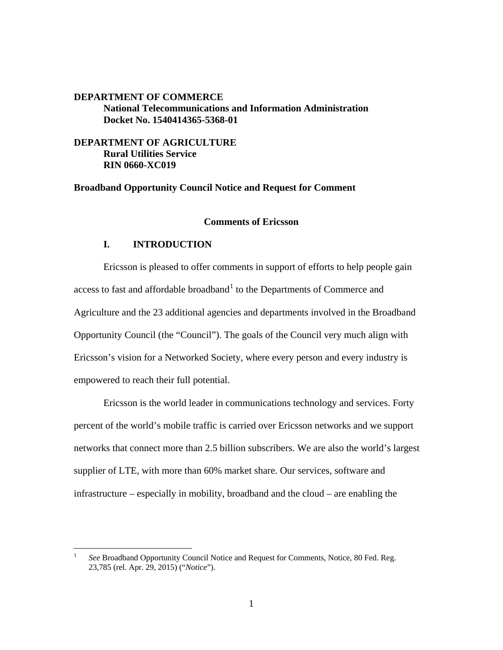# **DEPARTMENT OF COMMERCE National Telecommunications and Information Administration Docket No. 1540414365-5368-01**

**DEPARTMENT OF AGRICULTURE Rural Utilities Service RIN 0660-XC019**

**Broadband Opportunity Council Notice and Request for Comment**

### **Comments of Ericsson**

## **I. INTRODUCTION**

Ericsson is pleased to offer comments in support of efforts to help people gain access to fast and affordable broadband<sup>[1](#page-8-0)</sup> to the Departments of Commerce and Agriculture and the 23 additional agencies and departments involved in the Broadband Opportunity Council (the "Council"). The goals of the Council very much align with Ericsson's vision for a Networked Society, where every person and every industry is empowered to reach their full potential.

Ericsson is the world leader in communications technology and services. Forty percent of the world's mobile traffic is carried over Ericsson networks and we support networks that connect more than 2.5 billion subscribers. We are also the world's largest supplier of LTE, with more than 60% market share. Our services, software and infrastructure – especially in mobility, broadband and the cloud – are enabling the

<span id="page-1-0"></span> <sup>1</sup> *See* Broadband Opportunity Council Notice and Request for Comments, Notice, 80 Fed. Reg. 23,785 (rel. Apr. 29, 2015) ("*Notice*").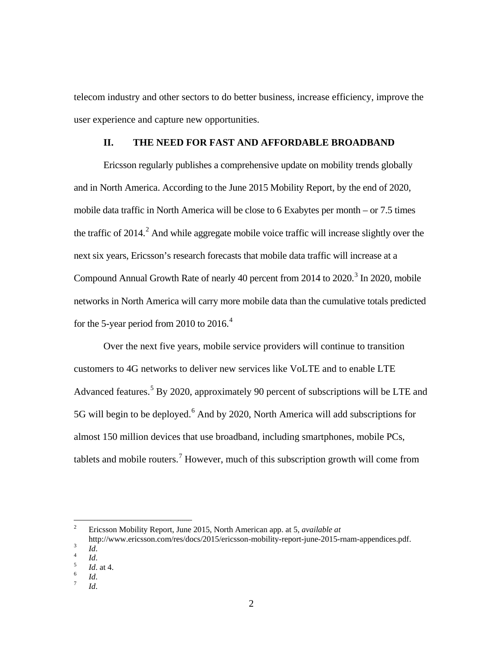telecom industry and other sectors to do better business, increase efficiency, improve the user experience and capture new opportunities.

# **II. THE NEED FOR FAST AND AFFORDABLE BROADBAND**

Ericsson regularly publishes a comprehensive update on mobility trends globally and in North America. According to the June 2015 Mobility Report, by the end of 2020, mobile data traffic in North America will be close to 6 Exabytes per month – or 7.5 times the traffic of  $2014<sup>2</sup>$  $2014<sup>2</sup>$ . And while aggregate mobile voice traffic will increase slightly over the next six years, Ericsson's research forecasts that mobile data traffic will increase at a Compound Annual Growth Rate of nearly 40 percent from  $2014$  to  $2020$ .<sup>[3](#page-2-0)</sup> In 2020, mobile networks in North America will carry more mobile data than the cumulative totals predicted for the 5-year period from 2010 to 2016.<sup>[4](#page-2-1)</sup>

Over the next five years, mobile service providers will continue to transition customers to 4G networks to deliver new services like VoLTE and to enable LTE Advanced features.<sup>[5](#page-2-2)</sup> By 2020, approximately 90 percent of subscriptions will be LTE and 5G will begin to be deployed.<sup>[6](#page-2-3)</sup> And by 2020, North America will add subscriptions for almost 150 million devices that use broadband, including smartphones, mobile PCs, tablets and mobile routers.<sup>[7](#page-2-4)</sup> However, much of this subscription growth will come from

 <sup>2</sup> Ericsson Mobility Report, June 2015, North American app. at 5, *available at*

<span id="page-2-0"></span>http://www.ericsson.com/res/docs/2015/ericsson-mobility-report-june-2015-rnam-appendices.pdf.<br> *Id. Id. Id.* at 4. *Id.* at 4. *Id. Id. Id. Id. Id. Id. Id. Id. Id.* 

<span id="page-2-2"></span><span id="page-2-1"></span>

<span id="page-2-4"></span><span id="page-2-3"></span>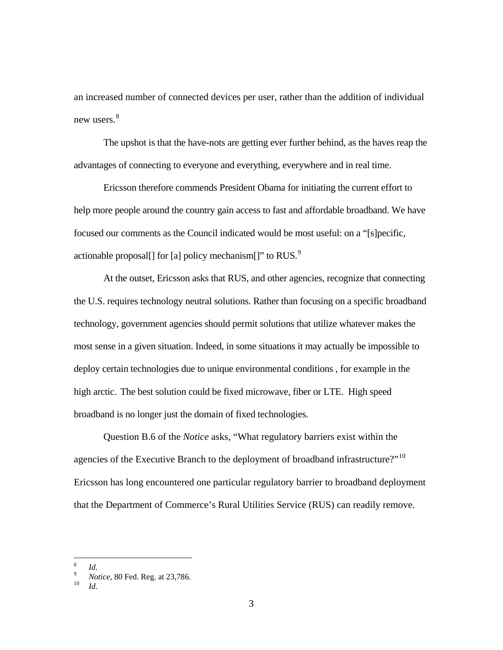an increased number of connected devices per user, rather than the addition of individual new users.<sup>[8](#page-2-2)</sup>

The upshot is that the have-nots are getting ever further behind, as the haves reap the advantages of connecting to everyone and everything, everywhere and in real time.

Ericsson therefore commends President Obama for initiating the current effort to help more people around the country gain access to fast and affordable broadband. We have focused our comments as the Council indicated would be most useful: on a "[s]pecific, actionable proposal[] for [a] policy mechanism[]" to RUS. $^{9}$  $^{9}$  $^{9}$ 

At the outset, Ericsson asks that RUS, and other agencies, recognize that connecting the U.S. requires technology neutral solutions. Rather than focusing on a specific broadband technology, government agencies should permit solutions that utilize whatever makes the most sense in a given situation. Indeed, in some situations it may actually be impossible to deploy certain technologies due to unique environmental conditions , for example in the high arctic. The best solution could be fixed microwave, fiber or LTE. High speed broadband is no longer just the domain of fixed technologies.

Question B.6 of the *Notice* asks, "What regulatory barriers exist within the agencies of the Executive Branch to the deployment of broadband infrastructure?"<sup>[10](#page-3-1)</sup> Ericsson has long encountered one particular regulatory barrier to broadband deployment that the Department of Commerce's Rural Utilities Service (RUS) can readily remove.

<span id="page-3-0"></span><sup>8</sup> *Id*. <sup>9</sup> *Notice*, 80 Fed. Reg. at 23,786. <sup>10</sup> *Id*.

<span id="page-3-1"></span>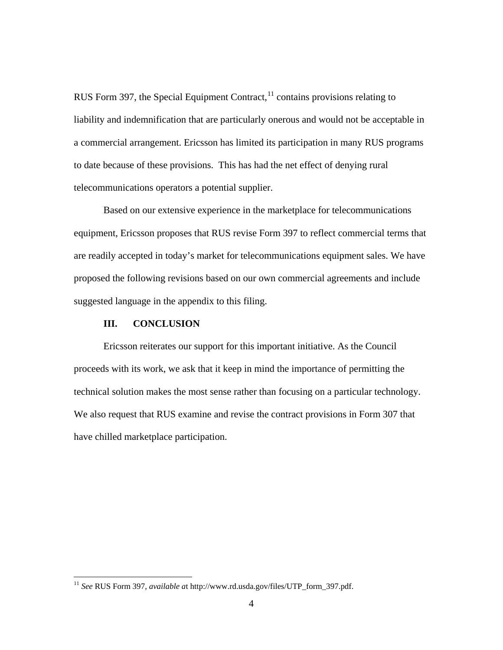RUS Form 397, the Special Equipment Contract,  $11$  contains provisions relating to liability and indemnification that are particularly onerous and would not be acceptable in a commercial arrangement. Ericsson has limited its participation in many RUS programs to date because of these provisions. This has had the net effect of denying rural telecommunications operators a potential supplier.

Based on our extensive experience in the marketplace for telecommunications equipment, Ericsson proposes that RUS revise Form 397 to reflect commercial terms that are readily accepted in today's market for telecommunications equipment sales. We have proposed the following revisions based on our own commercial agreements and include suggested language in the appendix to this filing.

#### **III. CONCLUSION**

Ericsson reiterates our support for this important initiative. As the Council proceeds with its work, we ask that it keep in mind the importance of permitting the technical solution makes the most sense rather than focusing on a particular technology. We also request that RUS examine and revise the contract provisions in Form 307 that have chilled marketplace participation.

 <sup>11</sup> *See* RUS Form 397, *available a*t http://www.rd.usda.gov/files/UTP\_form\_397.pdf.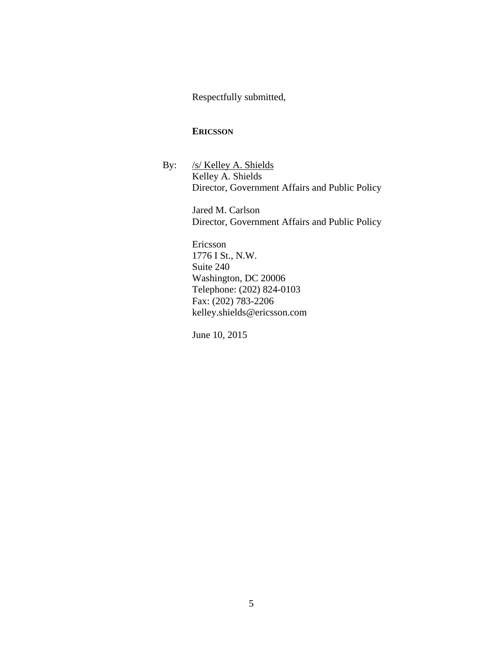Respectfully submitted,

## **ERICSSON**

By: /s/ Kelley A. Shields Kelley A. Shields Director, Government Affairs and Public Policy

> Jared M. Carlson Director, Government Affairs and Public Policy

Ericsson 1776 I St., N.W. Suite 240 Washington, DC 20006 Telephone: (202) 824-0103 Fax: (202) 783-2206 [kelley.shields@ericsson.com](mailto:kelley.shields@ericsson.com)

June 10, 2015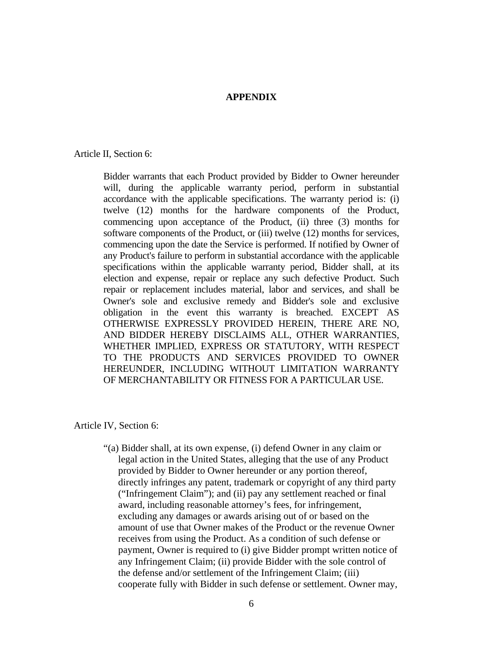# **APPENDIX**

Article II, Section 6:

Bidder warrants that each Product provided by Bidder to Owner hereunder will, during the applicable warranty period, perform in substantial accordance with the applicable specifications. The warranty period is: (i) twelve (12) months for the hardware components of the Product, commencing upon acceptance of the Product, (ii) three (3) months for software components of the Product, or (iii) twelve (12) months for services, commencing upon the date the Service is performed. If notified by Owner of any Product's failure to perform in substantial accordance with the applicable specifications within the applicable warranty period, Bidder shall, at its election and expense, repair or replace any such defective Product. Such repair or replacement includes material, labor and services, and shall be Owner's sole and exclusive remedy and Bidder's sole and exclusive obligation in the event this warranty is breached. EXCEPT AS OTHERWISE EXPRESSLY PROVIDED HEREIN, THERE ARE NO, AND BIDDER HEREBY DISCLAIMS ALL, OTHER WARRANTIES, WHETHER IMPLIED, EXPRESS OR STATUTORY, WITH RESPECT TO THE PRODUCTS AND SERVICES PROVIDED TO OWNER HEREUNDER, INCLUDING WITHOUT LIMITATION WARRANTY OF MERCHANTABILITY OR FITNESS FOR A PARTICULAR USE.

Article IV, Section 6:

"(a) Bidder shall, at its own expense, (i) defend Owner in any claim or legal action in the United States, alleging that the use of any Product provided by Bidder to Owner hereunder or any portion thereof, directly infringes any patent, trademark or copyright of any third party ("Infringement Claim"); and (ii) pay any settlement reached or final award, including reasonable attorney's fees, for infringement, excluding any damages or awards arising out of or based on the amount of use that Owner makes of the Product or the revenue Owner receives from using the Product. As a condition of such defense or payment, Owner is required to (i) give Bidder prompt written notice of any Infringement Claim; (ii) provide Bidder with the sole control of the defense and/or settlement of the Infringement Claim; (iii) cooperate fully with Bidder in such defense or settlement. Owner may,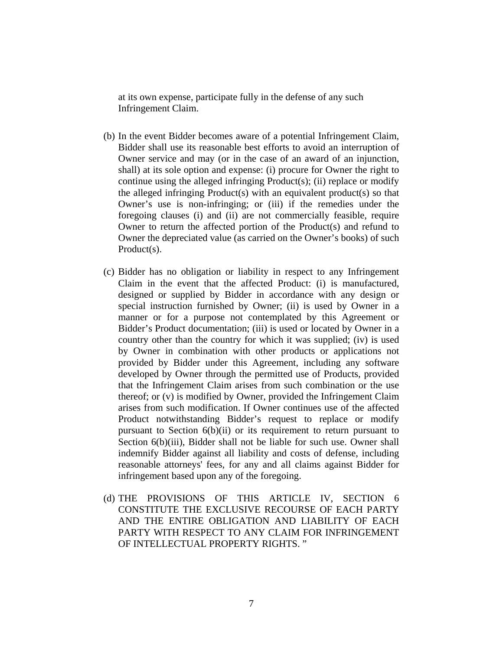at its own expense, participate fully in the defense of any such Infringement Claim.

- (b) In the event Bidder becomes aware of a potential Infringement Claim, Bidder shall use its reasonable best efforts to avoid an interruption of Owner service and may (or in the case of an award of an injunction, shall) at its sole option and expense: (i) procure for Owner the right to continue using the alleged infringing Product(s); (ii) replace or modify the alleged infringing Product(s) with an equivalent product(s) so that Owner's use is non-infringing; or (iii) if the remedies under the foregoing clauses (i) and (ii) are not commercially feasible, require Owner to return the affected portion of the Product(s) and refund to Owner the depreciated value (as carried on the Owner's books) of such Product(s).
- (c) Bidder has no obligation or liability in respect to any Infringement Claim in the event that the affected Product: (i) is manufactured, designed or supplied by Bidder in accordance with any design or special instruction furnished by Owner; (ii) is used by Owner in a manner or for a purpose not contemplated by this Agreement or Bidder's Product documentation; (iii) is used or located by Owner in a country other than the country for which it was supplied; (iv) is used by Owner in combination with other products or applications not provided by Bidder under this Agreement, including any software developed by Owner through the permitted use of Products, provided that the Infringement Claim arises from such combination or the use thereof; or (v) is modified by Owner, provided the Infringement Claim arises from such modification. If Owner continues use of the affected Product notwithstanding Bidder's request to replace or modify pursuant to Section 6(b)(ii) or its requirement to return pursuant to Section  $6(b)(iii)$ , Bidder shall not be liable for such use. Owner shall indemnify Bidder against all liability and costs of defense, including reasonable attorneys' fees, for any and all claims against Bidder for infringement based upon any of the foregoing.
- (d) THE PROVISIONS OF THIS ARTICLE IV, SECTION 6 CONSTITUTE THE EXCLUSIVE RECOURSE OF EACH PARTY AND THE ENTIRE OBLIGATION AND LIABILITY OF EACH PARTY WITH RESPECT TO ANY CLAIM FOR INFRINGEMENT OF INTELLECTUAL PROPERTY RIGHTS. "